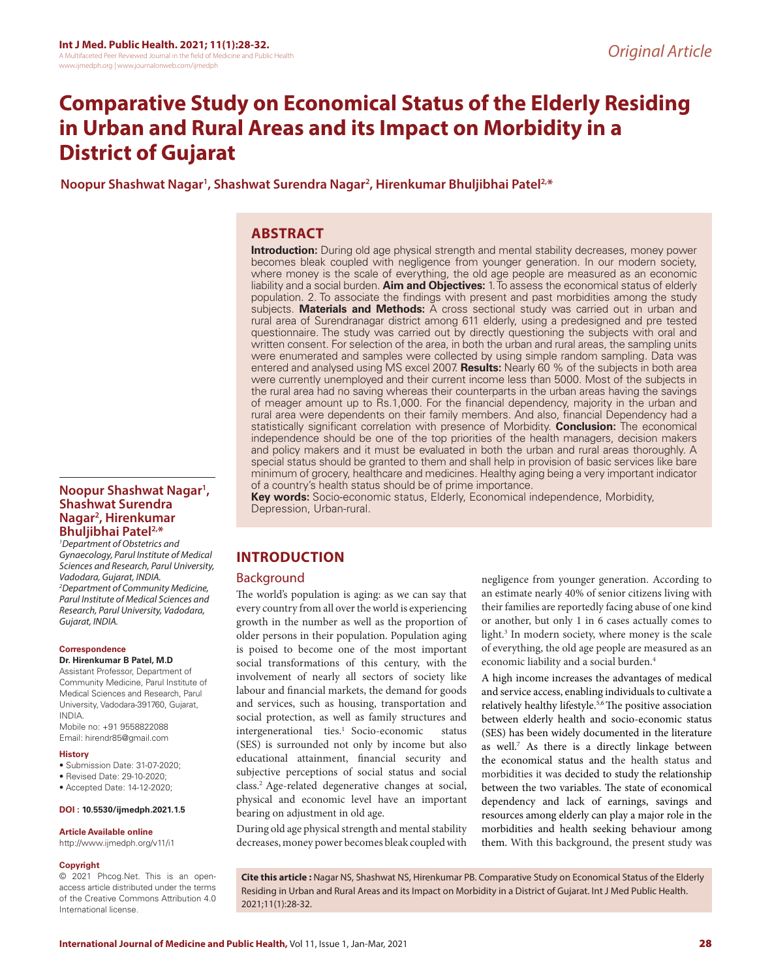# **Comparative Study on Economical Status of the Elderly Residing in Urban and Rural Areas and its Impact on Morbidity in a District of Gujarat**

**Noopur Shashwat Nagar1 , Shashwat Surendra Nagar2 , Hirenkumar Bhuljibhai Patel2,\***

## **ABSTRACT**

**Introduction:** During old age physical strength and mental stability decreases, money power becomes bleak coupled with negligence from younger generation. In our modern society, where money is the scale of everything, the old age people are measured as an economic liability and a social burden. **Aim and Objectives:** 1. To assess the economical status of elderly population. 2. To associate the findings with present and past morbidities among the study subjects. **Materials and Methods:** A cross sectional study was carried out in urban and rural area of Surendranagar district among 611 elderly, using a predesigned and pre tested questionnaire. The study was carried out by directly questioning the subjects with oral and written consent. For selection of the area, in both the urban and rural areas, the sampling units were enumerated and samples were collected by using simple random sampling. Data was entered and analysed using MS excel 2007. **Results:** Nearly 60 % of the subjects in both area were currently unemployed and their current income less than 5000. Most of the subjects in the rural area had no saving whereas their counterparts in the urban areas having the savings of meager amount up to Rs.1,000. For the financial dependency, majority in the urban and rural area were dependents on their family members. And also, financial Dependency had a statistically significant correlation with presence of Morbidity. **Conclusion:** The economical independence should be one of the top priorities of the health managers, decision makers and policy makers and it must be evaluated in both the urban and rural areas thoroughly. A special status should be granted to them and shall help in provision of basic services like bare minimum of grocery, healthcare and medicines. Healthy aging being a very important indicator of a country's health status should be of prime importance.

**Key words:** Socio-economic status, Elderly, Economical independence, Morbidity, Depression, Urban-rural.

## **INTRODUCTION**

## Background

The world's population is aging: as we can say that every country from all over the world is experiencing growth in the number as well as the proportion of older persons in their population. Population aging is poised to become one of the most important social transformations of this century, with the involvement of nearly all sectors of society like labour and financial markets, the demand for goods and services, such as housing, transportation and social protection, as well as family structures and intergenerational ties.<sup>1</sup> Socio-economic status (SES) is surrounded not only by income but also educational attainment, financial security and subjective perceptions of social status and social class.2 Age-related degenerative changes at social, physical and economic level have an important bearing on adjustment in old age.

During old age physical strength and mental stability decreases, money power becomes bleak coupled with negligence from younger generation. According to an estimate nearly 40% of senior citizens living with their families are reportedly facing abuse of one kind or another, but only 1 in 6 cases actually comes to light.3 In modern society, where money is the scale of everything, the old age people are measured as an economic liability and a social burden.4

A high income increases the advantages of medical and service access, enabling individuals to cultivate a relatively healthy lifestyle.<sup>5,6</sup> The positive association between elderly health and socio-economic status (SES) has been widely documented in the literature as well.7 As there is a directly linkage between the economical status and the health status and morbidities it was decided to study the relationship between the two variables. The state of economical dependency and lack of earnings, savings and resources among elderly can play a major role in the morbidities and health seeking behaviour among them. With this background, the present study was

**Copyright**

**Article Available online**  http://www.ijmedph.org/v11/i1

© 2021 Phcog.Net. This is an openaccess article distributed under the terms of the Creative Commons Attribution 4.0 International license.

**Noopur Shashwat Nagar1 , Shashwat Surendra** 

*2 Department of Community Medicine, Parul Institute of Medical Sciences and Research, Parul University, Vadodara,* 

**Nagar2 , Hirenkumar Bhuljibhai Patel2,\*** *1 Department of Obstetrics and Gynaecology, Parul Institute of Medical Sciences and Research, Parul University,* 

*Vadodara, Gujarat, INDIA.*

**Dr. Hirenkumar B Patel, M.D**  Assistant Professor, Department of Community Medicine, Parul Institute of Medical Sciences and Research, Parul University, Vadodara-391760, Gujarat,

Mobile no: +91 9558822088 Email: hirendr85@gmail.com

• Submission Date: 31-07-2020; • Revised Date: 29-10-2020; • Accepted Date: 14-12-2020; **DOI : 10.5530/ijmedph.2021.1.5**

*Gujarat, INDIA.*

**Correspondence**

INDIA.

**History**

**Cite this article :** Nagar NS, Shashwat NS, Hirenkumar PB. Comparative Study on Economical Status of the Elderly Residing in Urban and Rural Areas and its Impact on Morbidity in a District of Gujarat. Int J Med Public Health. 2021;11(1):28-32.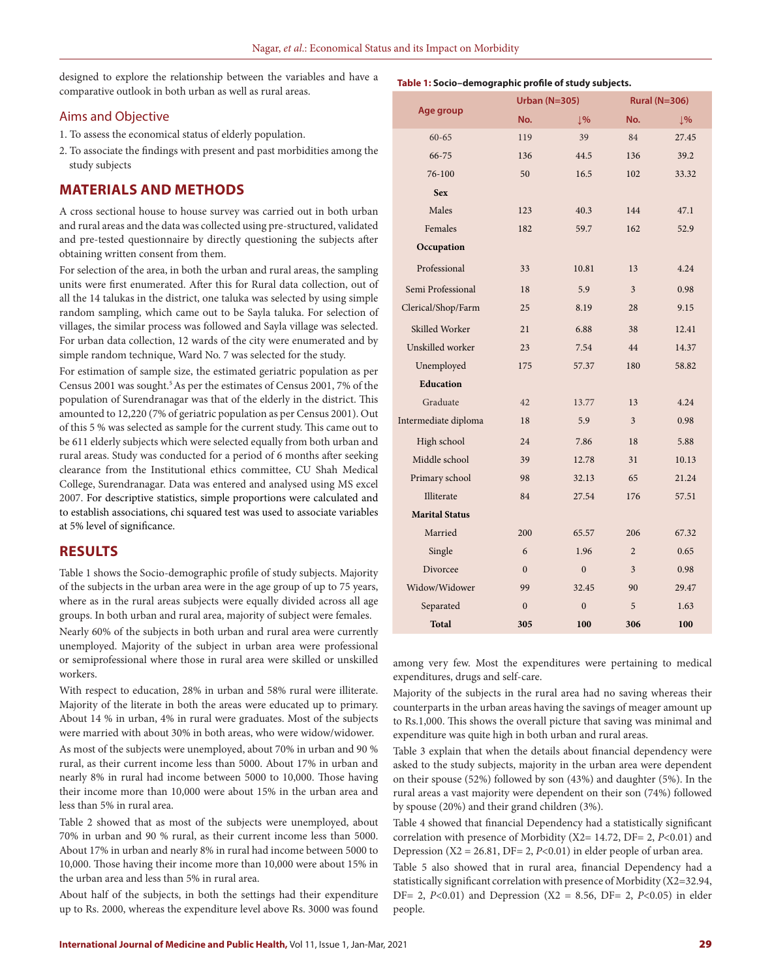designed to explore the relationship between the variables and have a comparative outlook in both urban as well as rural areas.

## Aims and Objective

- 1. To assess the economical status of elderly population.
- 2. To associate the findings with present and past morbidities among the study subjects

## **MATERIALS AND METHODS**

A cross sectional house to house survey was carried out in both urban and rural areas and the data was collected using pre-structured, validated and pre-tested questionnaire by directly questioning the subjects after obtaining written consent from them.

For selection of the area, in both the urban and rural areas, the sampling units were first enumerated. After this for Rural data collection, out of all the 14 talukas in the district, one taluka was selected by using simple random sampling, which came out to be Sayla taluka. For selection of villages, the similar process was followed and Sayla village was selected. For urban data collection, 12 wards of the city were enumerated and by simple random technique, Ward No. 7 was selected for the study.

For estimation of sample size, the estimated geriatric population as per Census 2001 was sought.<sup>5</sup> As per the estimates of Census 2001, 7% of the population of Surendranagar was that of the elderly in the district. This amounted to 12,220 (7% of geriatric population as per Census 2001). Out of this 5 % was selected as sample for the current study. This came out to be 611 elderly subjects which were selected equally from both urban and rural areas. Study was conducted for a period of 6 months after seeking clearance from the Institutional ethics committee, CU Shah Medical College, Surendranagar. Data was entered and analysed using MS excel 2007. For descriptive statistics, simple proportions were calculated and to establish associations, chi squared test was used to associate variables at 5% level of significance.

## **RESULTS**

Table 1 shows the Socio-demographic profile of study subjects. Majority of the subjects in the urban area were in the age group of up to 75 years, where as in the rural areas subjects were equally divided across all age groups. In both urban and rural area, majority of subject were females.

Nearly 60% of the subjects in both urban and rural area were currently unemployed. Majority of the subject in urban area were professional or semiprofessional where those in rural area were skilled or unskilled workers.

With respect to education, 28% in urban and 58% rural were illiterate. Majority of the literate in both the areas were educated up to primary. About 14 % in urban, 4% in rural were graduates. Most of the subjects were married with about 30% in both areas, who were widow/widower.

As most of the subjects were unemployed, about 70% in urban and 90 % rural, as their current income less than 5000. About 17% in urban and nearly 8% in rural had income between 5000 to 10,000. Those having their income more than 10,000 were about 15% in the urban area and less than 5% in rural area.

Table 2 showed that as most of the subjects were unemployed, about 70% in urban and 90 % rural, as their current income less than 5000. About 17% in urban and nearly 8% in rural had income between 5000 to 10,000. Those having their income more than 10,000 were about 15% in the urban area and less than 5% in rural area.

About half of the subjects, in both the settings had their expenditure up to Rs. 2000, whereas the expenditure level above Rs. 3000 was found

|                       | <b>Urban (N=305)</b> |                | <b>Rural (N=306)</b> |                |  |
|-----------------------|----------------------|----------------|----------------------|----------------|--|
| Age group             | No.                  | $\downarrow$ % | No.                  | $\downarrow$ % |  |
| $60 - 65$             | 119                  | 39             | 84                   | 27.45          |  |
| 66-75                 | 136                  | 44.5           | 136                  | 39.2           |  |
| 76-100                | 50                   | 16.5           | 102                  | 33.32          |  |
| <b>Sex</b>            |                      |                |                      |                |  |
| Males                 | 123                  | 40.3           | 144                  | 47.1           |  |
| Females               | 182                  | 59.7           | 162                  | 52.9           |  |
| Occupation            |                      |                |                      |                |  |
| Professional          | 33                   | 10.81          | 13                   | 4.24           |  |
| Semi Professional     | 18                   | 5.9            | 3                    | 0.98           |  |
| Clerical/Shop/Farm    | 25                   | 8.19           | 28                   | 9.15           |  |
| Skilled Worker        | 21                   | 6.88           | 38                   | 12.41          |  |
| Unskilled worker      | 23                   | 7.54           | 44                   | 14.37          |  |
| Unemployed            | 175                  | 57.37          | 180                  | 58.82          |  |
| <b>Education</b>      |                      |                |                      |                |  |
| Graduate              | 42                   | 13.77          | 13                   | 4.24           |  |
| Intermediate diploma  | 18                   | 5.9            | $\overline{3}$       | 0.98           |  |
| High school           | 24                   | 7.86           | 18                   | 5.88           |  |
| Middle school         | 39                   | 12.78          | 31                   | 10.13          |  |
| Primary school        | 98                   | 32.13          | 65                   | 21.24          |  |
| Illiterate            | 84                   | 27.54          | 176                  | 57.51          |  |
| <b>Marital Status</b> |                      |                |                      |                |  |
| Married               | 200                  | 65.57          | 206                  | 67.32          |  |
| Single                | 6                    | 1.96           | $\overline{2}$       | 0.65           |  |
| Divorcee              | $\mathbf{0}$         | $\mathbf{0}$   | 3                    | 0.98           |  |
| Widow/Widower         | 99                   | 32.45          | 90                   | 29.47          |  |
| Separated             | $\mathbf{0}$         | $\overline{0}$ | 5                    | 1.63           |  |
| <b>Total</b>          | 305                  | 100            | 306                  | 100            |  |

among very few. Most the expenditures were pertaining to medical expenditures, drugs and self-care.

Majority of the subjects in the rural area had no saving whereas their counterparts in the urban areas having the savings of meager amount up to Rs.1,000. This shows the overall picture that saving was minimal and expenditure was quite high in both urban and rural areas.

Table 3 explain that when the details about financial dependency were asked to the study subjects, majority in the urban area were dependent on their spouse (52%) followed by son (43%) and daughter (5%). In the rural areas a vast majority were dependent on their son (74%) followed by spouse (20%) and their grand children (3%).

Table 4 showed that financial Dependency had a statistically significant correlation with presence of Morbidity (X2= 14.72, DF= 2, *P*<0.01) and Depression (X2 = 26.81, DF= 2, *P*<0.01) in elder people of urban area.

Table 5 also showed that in rural area, financial Dependency had a statistically significant correlation with presence of Morbidity (X2=32.94, DF= 2, *P*<0.01) and Depression (X2 = 8.56, DF= 2, *P*<0.05) in elder people.

## **Table 1: Socio–demographic profile of study subjects.**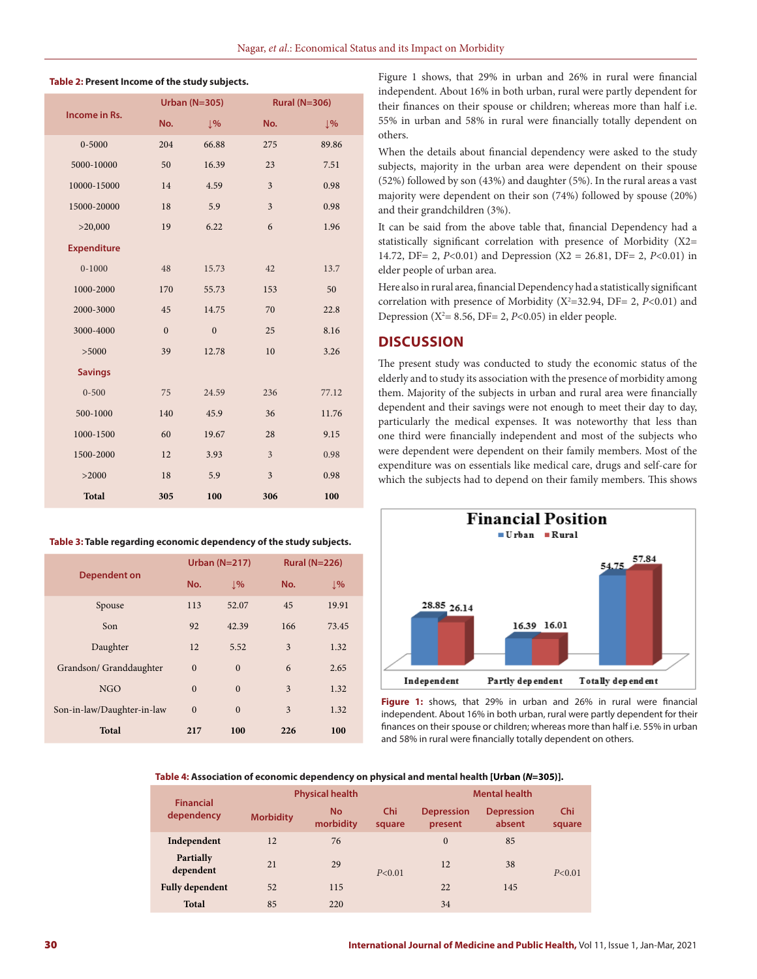#### **Table 2: Present Income of the study subjects.**

| Income in Rs.      |              | <b>Urban (N=305)</b> | <b>Rural (N=306)</b>    |       |
|--------------------|--------------|----------------------|-------------------------|-------|
|                    | No.          | $\sqrt{9}$           | No.                     | 1%    |
| $0 - 5000$         | 204          | 66.88                | 275                     | 89.86 |
| 5000-10000         | 50           | 16.39                | 23                      | 7.51  |
| 10000-15000        | 14           | 4.59                 | 3                       | 0.98  |
| 15000-20000        | 18           | 5.9                  | $\overline{\mathbf{3}}$ | 0.98  |
| >20,000            | 19           | 6.22                 | 6                       | 1.96  |
| <b>Expenditure</b> |              |                      |                         |       |
| $0 - 1000$         | 48           | 15.73                | 42                      | 13.7  |
| 1000-2000          | 170          | 55.73                | 153                     | 50    |
| 2000-3000          | 45           | 14.75                | 70                      | 22.8  |
| 3000-4000          | $\mathbf{0}$ | $\overline{0}$       | 25                      | 8.16  |
| > 5000             | 39           | 12.78                | 10                      | 3.26  |
| <b>Savings</b>     |              |                      |                         |       |
| $0 - 500$          | 75           | 24.59                | 236                     | 77.12 |
| 500-1000           | 140          | 45.9                 | 36                      | 11.76 |
| 1000-1500          | 60           | 19.67                | 28                      | 9.15  |
| 1500-2000          | 12           | 3.93                 | 3                       | 0.98  |
| >2000              | 18           | 5.9                  | 3                       | 0.98  |
| <b>Total</b>       | 305          | 100                  | 306                     | 100   |

#### **Table 3: Table regarding economic dependency of the study subjects.**

|                            |              | Urban $(N=217)$ | <b>Rural (N=226)</b> |                 |
|----------------------------|--------------|-----------------|----------------------|-----------------|
| <b>Dependent on</b>        | No.          | $\downarrow$ %  | No.                  | $\frac{1}{2}$ % |
| Spouse                     | 113          | 52.07           | 45                   | 19.91           |
| Son                        | 92           | 42.39           | 166                  | 73.45           |
| Daughter                   | 12           | 5.52            | 3                    | 1.32            |
| Grandson/ Granddaughter    | $\mathbf{0}$ | $\mathbf{0}$    | 6                    | 2.65            |
| <b>NGO</b>                 | $\Omega$     | $\Omega$        | 3                    | 1.32            |
| Son-in-law/Daughter-in-law | $\Omega$     | $\Omega$        | 3                    | 1.32            |
| <b>Total</b>               | 217          | 100             | 226                  | 100             |

Figure 1 shows, that 29% in urban and 26% in rural were financial independent. About 16% in both urban, rural were partly dependent for their finances on their spouse or children; whereas more than half i.e. 55% in urban and 58% in rural were financially totally dependent on others.

When the details about financial dependency were asked to the study subjects, majority in the urban area were dependent on their spouse (52%) followed by son (43%) and daughter (5%). In the rural areas a vast majority were dependent on their son (74%) followed by spouse (20%) and their grandchildren (3%).

It can be said from the above table that, financial Dependency had a statistically significant correlation with presence of Morbidity (X2= 14.72, DF= 2, *P*<0.01) and Depression (X2 = 26.81, DF= 2, *P*<0.01) in elder people of urban area.

Here also in rural area, financial Dependency had a statistically significant correlation with presence of Morbidity  $(X^2=32.94, DF= 2, P<0.01)$  and Depression ( $X^2$ = 8.56, DF= 2, *P*<0.05) in elder people.

### **DISCUSSION**

The present study was conducted to study the economic status of the elderly and to study its association with the presence of morbidity among them. Majority of the subjects in urban and rural area were financially dependent and their savings were not enough to meet their day to day, particularly the medical expenses. It was noteworthy that less than one third were financially independent and most of the subjects who were dependent were dependent on their family members. Most of the expenditure was on essentials like medical care, drugs and self-care for which the subjects had to depend on their family members. This shows



**Figure 1:** shows, that 29% in urban and 26% in rural were financial independent. About 16% in both urban, rural were partly dependent for their finances on their spouse or children; whereas more than half i.e. 55% in urban and 58% in rural were financially totally dependent on others.

### **Table 4: Association of economic dependency on physical and mental health [Urban (***N***=305)].**

| <b>Financial</b><br>dependency | <b>Physical health</b> |                        |               | <b>Mental health</b>         |                             |               |
|--------------------------------|------------------------|------------------------|---------------|------------------------------|-----------------------------|---------------|
|                                | <b>Morbidity</b>       | <b>No</b><br>morbidity | Chi<br>square | <b>Depression</b><br>present | <b>Depression</b><br>absent | Chi<br>square |
| Independent                    | 12                     | 76                     | P < 0.01      | $\overline{0}$               | 85                          | P < 0.01      |
| Partially<br>dependent         | 21                     | 29                     |               | 12                           | 38                          |               |
| <b>Fully dependent</b>         | 52                     | 115                    |               | 22                           | 145                         |               |
| <b>Total</b>                   | 85                     | 220                    |               | 34                           |                             |               |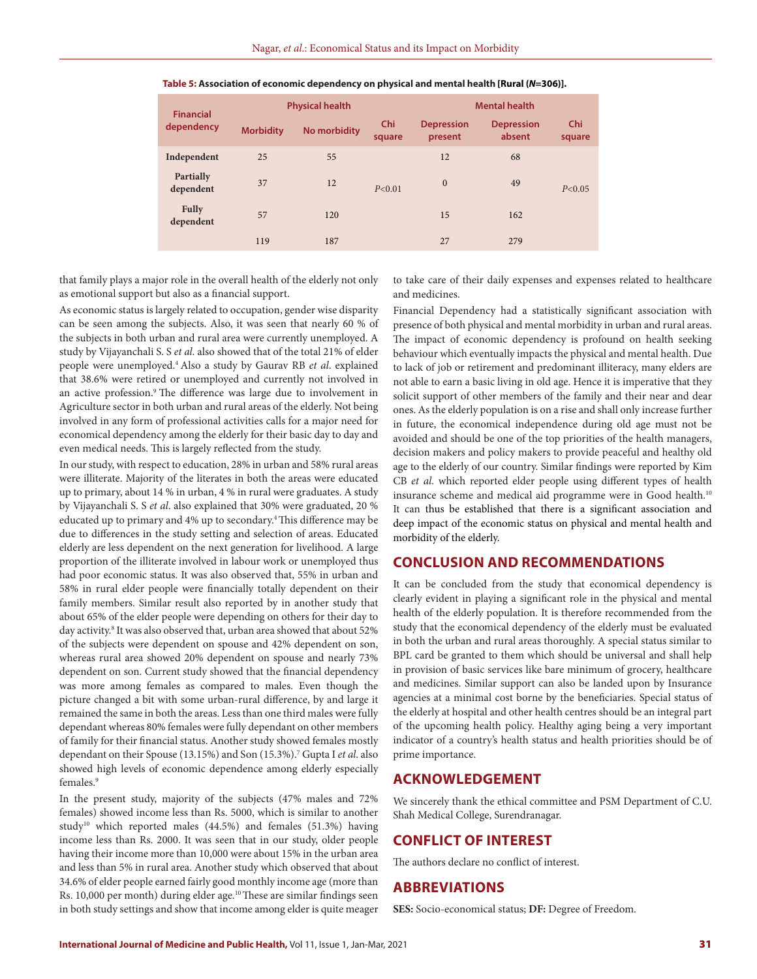| <b>Financial</b><br>dependency |                  | <b>Physical health</b> |               |                              | <b>Mental health</b>        |               |  |
|--------------------------------|------------------|------------------------|---------------|------------------------------|-----------------------------|---------------|--|
|                                | <b>Morbidity</b> | No morbidity           | Chi<br>square | <b>Depression</b><br>present | <b>Depression</b><br>absent | Chi<br>square |  |
| Independent                    | 25               | 55                     |               | 12                           | 68                          |               |  |
| Partially<br>dependent         | 37               | 12                     | P < 0.01      | $\mathbf{0}$                 | 49                          | P < 0.05      |  |
| Fully<br>dependent             | 57               | 120                    |               | 15                           | 162                         |               |  |
|                                | 119              | 187                    |               | 27                           | 279                         |               |  |

#### **Table 5: Association of economic dependency on physical and mental health [Rural (***N***=306)].**

that family plays a major role in the overall health of the elderly not only as emotional support but also as a financial support.

As economic status is largely related to occupation, gender wise disparity can be seen among the subjects. Also, it was seen that nearly 60 % of the subjects in both urban and rural area were currently unemployed. A study by Vijayanchali S. S *et al*. also showed that of the total 21% of elder people were unemployed.4 Also a study by Gaurav RB *et al*. explained that 38.6% were retired or unemployed and currently not involved in an active profession.<sup>9</sup> The difference was large due to involvement in Agriculture sector in both urban and rural areas of the elderly. Not being involved in any form of professional activities calls for a major need for economical dependency among the elderly for their basic day to day and even medical needs. This is largely reflected from the study.

In our study, with respect to education, 28% in urban and 58% rural areas were illiterate. Majority of the literates in both the areas were educated up to primary, about 14 % in urban, 4 % in rural were graduates. A study by Vijayanchali S. S *et al*. also explained that 30% were graduated, 20 % educated up to primary and 4% up to secondary.4 This difference may be due to differences in the study setting and selection of areas. Educated elderly are less dependent on the next generation for livelihood. A large proportion of the illiterate involved in labour work or unemployed thus had poor economic status. It was also observed that, 55% in urban and 58% in rural elder people were financially totally dependent on their family members. Similar result also reported by in another study that about 65% of the elder people were depending on others for their day to day activity.<sup>8</sup> It was also observed that, urban area showed that about 52% of the subjects were dependent on spouse and 42% dependent on son, whereas rural area showed 20% dependent on spouse and nearly 73% dependent on son. Current study showed that the financial dependency was more among females as compared to males. Even though the picture changed a bit with some urban-rural difference, by and large it remained the same in both the areas. Less than one third males were fully dependant whereas 80% females were fully dependant on other members of family for their financial status. Another study showed females mostly dependant on their Spouse (13.15%) and Son (15.3%).7 Gupta I *et al*. also showed high levels of economic dependence among elderly especially females.9

In the present study, majority of the subjects (47% males and 72% females) showed income less than Rs. 5000, which is similar to another study<sup>10</sup> which reported males  $(44.5%)$  and females  $(51.3%)$  having income less than Rs. 2000. It was seen that in our study, older people having their income more than 10,000 were about 15% in the urban area and less than 5% in rural area. Another study which observed that about 34.6% of elder people earned fairly good monthly income age (more than Rs. 10,000 per month) during elder age.<sup>10</sup> These are similar findings seen in both study settings and show that income among elder is quite meager

to take care of their daily expenses and expenses related to healthcare and medicines.

Financial Dependency had a statistically significant association with presence of both physical and mental morbidity in urban and rural areas. The impact of economic dependency is profound on health seeking behaviour which eventually impacts the physical and mental health. Due to lack of job or retirement and predominant illiteracy, many elders are not able to earn a basic living in old age. Hence it is imperative that they solicit support of other members of the family and their near and dear ones. As the elderly population is on a rise and shall only increase further in future, the economical independence during old age must not be avoided and should be one of the top priorities of the health managers, decision makers and policy makers to provide peaceful and healthy old age to the elderly of our country. Similar findings were reported by Kim CB *et al*. which reported elder people using different types of health insurance scheme and medical aid programme were in Good health.<sup>10</sup> It can thus be established that there is a significant association and deep impact of the economic status on physical and mental health and morbidity of the elderly.

## **CONCLUSION AND RECOMMENDATIONS**

It can be concluded from the study that economical dependency is clearly evident in playing a significant role in the physical and mental health of the elderly population. It is therefore recommended from the study that the economical dependency of the elderly must be evaluated in both the urban and rural areas thoroughly. A special status similar to BPL card be granted to them which should be universal and shall help in provision of basic services like bare minimum of grocery, healthcare and medicines. Similar support can also be landed upon by Insurance agencies at a minimal cost borne by the beneficiaries. Special status of the elderly at hospital and other health centres should be an integral part of the upcoming health policy. Healthy aging being a very important indicator of a country's health status and health priorities should be of prime importance.

## **ACKNOWLEDGEMENT**

We sincerely thank the ethical committee and PSM Department of C.U. Shah Medical College, Surendranagar.

## **CONFLICT OF INTEREST**

The authors declare no conflict of interest.

### **ABBREVIATIONS**

**SES:** Socio-economical status; **DF:** Degree of Freedom.